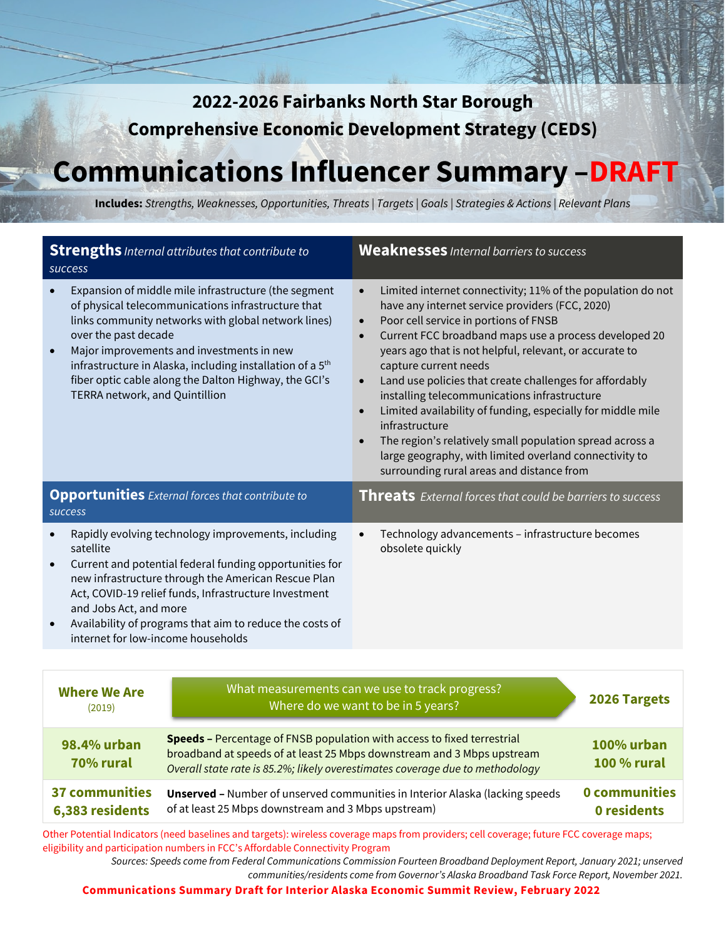# **2022-2026 Fairbanks North Star Borough Comprehensive Economic Development Strategy (CEDS)**

# **Communications Influencer Summary –DRAFT**

**Includes:** *Strengths, Weaknesses, Opportunities, Threats | Targets | Goals | Strategies & Actions | Relevant Plans*

| <b>Strengths</b> Internal attributes that contribute to<br>success                                                                                                                                                                                                                                                                                                                                         | <b>Weaknesses</b> Internal barriers to success                                                                                                                                                                                                                                                                                                                                                                                                                                                                                                                                                                                                                                                                          |  |
|------------------------------------------------------------------------------------------------------------------------------------------------------------------------------------------------------------------------------------------------------------------------------------------------------------------------------------------------------------------------------------------------------------|-------------------------------------------------------------------------------------------------------------------------------------------------------------------------------------------------------------------------------------------------------------------------------------------------------------------------------------------------------------------------------------------------------------------------------------------------------------------------------------------------------------------------------------------------------------------------------------------------------------------------------------------------------------------------------------------------------------------------|--|
| Expansion of middle mile infrastructure (the segment<br>of physical telecommunications infrastructure that<br>links community networks with global network lines)<br>over the past decade<br>Major improvements and investments in new<br>infrastructure in Alaska, including installation of a 5 <sup>th</sup><br>fiber optic cable along the Dalton Highway, the GCI's<br>TERRA network, and Quintillion | Limited internet connectivity; 11% of the population do not<br>$\bullet$<br>have any internet service providers (FCC, 2020)<br>Poor cell service in portions of FNSB<br>$\bullet$<br>Current FCC broadband maps use a process developed 20<br>years ago that is not helpful, relevant, or accurate to<br>capture current needs<br>Land use policies that create challenges for affordably<br>$\bullet$<br>installing telecommunications infrastructure<br>Limited availability of funding, especially for middle mile<br>$\bullet$<br>infrastructure<br>The region's relatively small population spread across a<br>large geography, with limited overland connectivity to<br>surrounding rural areas and distance from |  |
| <b>Opportunities</b> External forces that contribute to<br>success                                                                                                                                                                                                                                                                                                                                         | <b>Threats</b> External forces that could be barriers to success                                                                                                                                                                                                                                                                                                                                                                                                                                                                                                                                                                                                                                                        |  |
| Rapidly evolving technology improvements, including<br>satellite<br>Current and potential federal funding opportunities for<br>new infrastructure through the American Rescue Plan<br>Act, COVID-19 relief funds, Infrastructure Investment<br>and Jobs Act, and more<br>Availability of programs that aim to reduce the costs of<br>internet for low-income households                                    | Technology advancements - infrastructure becomes<br>obsolete quickly                                                                                                                                                                                                                                                                                                                                                                                                                                                                                                                                                                                                                                                    |  |
|                                                                                                                                                                                                                                                                                                                                                                                                            |                                                                                                                                                                                                                                                                                                                                                                                                                                                                                                                                                                                                                                                                                                                         |  |
| <b>Where We Are</b><br>(2019)                                                                                                                                                                                                                                                                                                                                                                              | What measurements can we use to track progress?<br>2026 Targets<br>Where do we want to be in 5 years?                                                                                                                                                                                                                                                                                                                                                                                                                                                                                                                                                                                                                   |  |

| $\sim$ $\sim$ $\sim$ $\sim$ $\sim$ |                                                                                                                                                                                                                                           |                                  |
|------------------------------------|-------------------------------------------------------------------------------------------------------------------------------------------------------------------------------------------------------------------------------------------|----------------------------------|
| 98.4% urban<br>70% rural           | <b>Speeds - Percentage of FNSB population with access to fixed terrestrial</b><br>broadband at speeds of at least 25 Mbps downstream and 3 Mbps upstream<br>Overall state rate is 85.2%; likely overestimates coverage due to methodology | 100% urban<br><b>100 % rural</b> |
| 37 communities<br>6,383 residents  | <b>Unserved -</b> Number of unserved communities in Interior Alaska (lacking speeds<br>of at least 25 Mbps downstream and 3 Mbps upstream)                                                                                                | 0 communities<br>0 residents     |

Other Potential Indicators (need baselines and targets): wireless coverage maps from providers; cell coverage; future FCC coverage maps; eligibility and participation numbers in FCC's Affordable Connectivity Program

*Sources: Speeds come from Federal Communications Commission Fourteen Broadband Deployment Report, January 2021; unserved communities/residents come from Governor's Alaska Broadband Task Force Report, November 2021.*

**Communications Summary Draft for Interior Alaska Economic Summit Review, February 2022**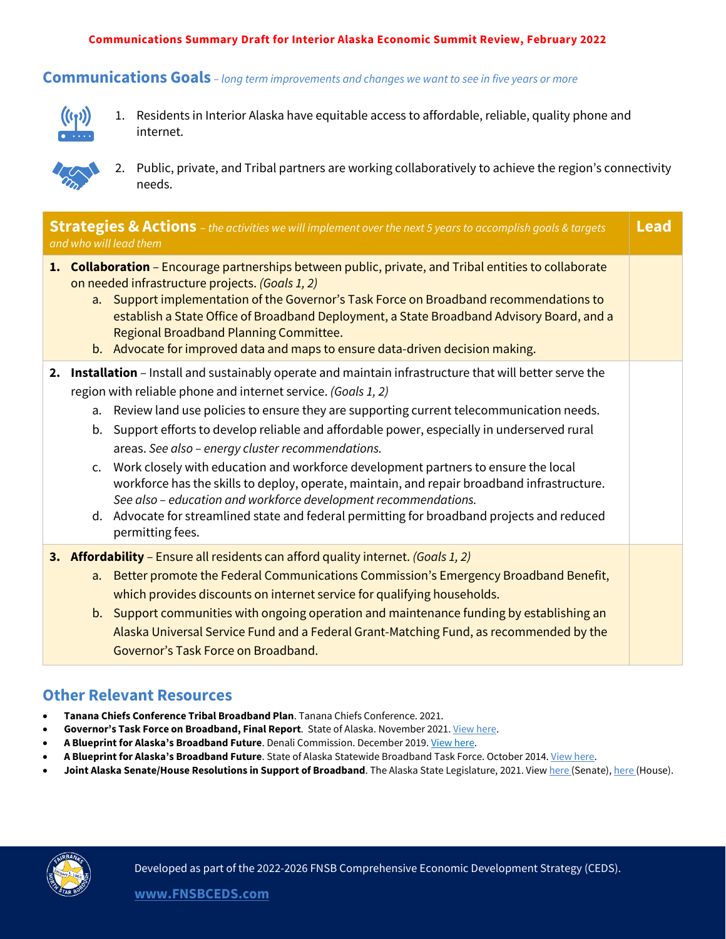#### **Communications Summary Draft for Interior Alaska Economic Summit Review, February 2022**

# **Communications Goals** *– long term improvements and changes we want to see in five years or more*



1. Residents in Interior Alaska have equitable access to affordable, reliable, quality phone and internet.



2. Public, private, and Tribal partners are working collaboratively to achieve the region's connectivity needs.

| <b>Strategies &amp; Actions</b> - the activities we will implement over the next 5 years to accomplish goals & targets<br>and who will lead them |                      |                                                                                                                                                                                                                                                                                                                                                                                                                                                                                                                                                                                                                                                                                                                                                                                                      | Lead |
|--------------------------------------------------------------------------------------------------------------------------------------------------|----------------------|------------------------------------------------------------------------------------------------------------------------------------------------------------------------------------------------------------------------------------------------------------------------------------------------------------------------------------------------------------------------------------------------------------------------------------------------------------------------------------------------------------------------------------------------------------------------------------------------------------------------------------------------------------------------------------------------------------------------------------------------------------------------------------------------------|------|
|                                                                                                                                                  |                      | 1. Collaboration - Encourage partnerships between public, private, and Tribal entities to collaborate<br>on needed infrastructure projects. (Goals 1, 2)<br>a. Support implementation of the Governor's Task Force on Broadband recommendations to<br>establish a State Office of Broadband Deployment, a State Broadband Advisory Board, and a<br>Regional Broadband Planning Committee.<br>b. Advocate for improved data and maps to ensure data-driven decision making.                                                                                                                                                                                                                                                                                                                           |      |
|                                                                                                                                                  | b.<br>$\mathsf{C}$ . | 2. Installation – Install and sustainably operate and maintain infrastructure that will better serve the<br>region with reliable phone and internet service. (Goals 1, 2)<br>a. Review land use policies to ensure they are supporting current telecommunication needs.<br>Support efforts to develop reliable and affordable power, especially in underserved rural<br>areas. See also - energy cluster recommendations.<br>Work closely with education and workforce development partners to ensure the local<br>workforce has the skills to deploy, operate, maintain, and repair broadband infrastructure.<br>See also - education and workforce development recommendations.<br>d. Advocate for streamlined state and federal permitting for broadband projects and reduced<br>permitting fees. |      |
|                                                                                                                                                  | a.                   | 3. Affordability - Ensure all residents can afford quality internet. (Goals 1, 2)<br>Better promote the Federal Communications Commission's Emergency Broadband Benefit,<br>which provides discounts on internet service for qualifying households.<br>b. Support communities with ongoing operation and maintenance funding by establishing an<br>Alaska Universal Service Fund and a Federal Grant-Matching Fund, as recommended by the<br>Governor's Task Force on Broadband.                                                                                                                                                                                                                                                                                                                     |      |

## **Other Relevant Resources**

- **Tanana Chiefs Conference Tribal Broadband Plan**. Tanana Chiefs Conference. 2021.
- Governor's Task Force on Broadband, Final Report. State of Alaska. November 2021[. View here.](https://indd.adobe.com/view/42ddcfe3-5ea9-4bcb-bd09-a71bcb63869a)
- A Blueprint for Alaska's Broadband Future. Denali Commission. December 2019. [View here.](https://www.denali.gov/updated-broadband-plan-document/)
- **A Blueprint for Alaska's Broadband Future**. State of Alaska Statewide Broadband Task Force. October 2014[. View here.](https://aedcweb.com/wp-content/uploads/2014/10/Statewide-Broadband-Task-Force-Report-FINAL.pdf)
- Joint Alaska Senate/House Resolutions in Support of Broadband. The Alaska State Legislature, 2021. Vie[w here \(](http://www.akleg.gov/basis/Bill/Text/32?Hsid=HJR019C)Senate)[, here \(](http://www.akleg.gov/basis/Bill/Text/32?Hsid=SJR013C)House).

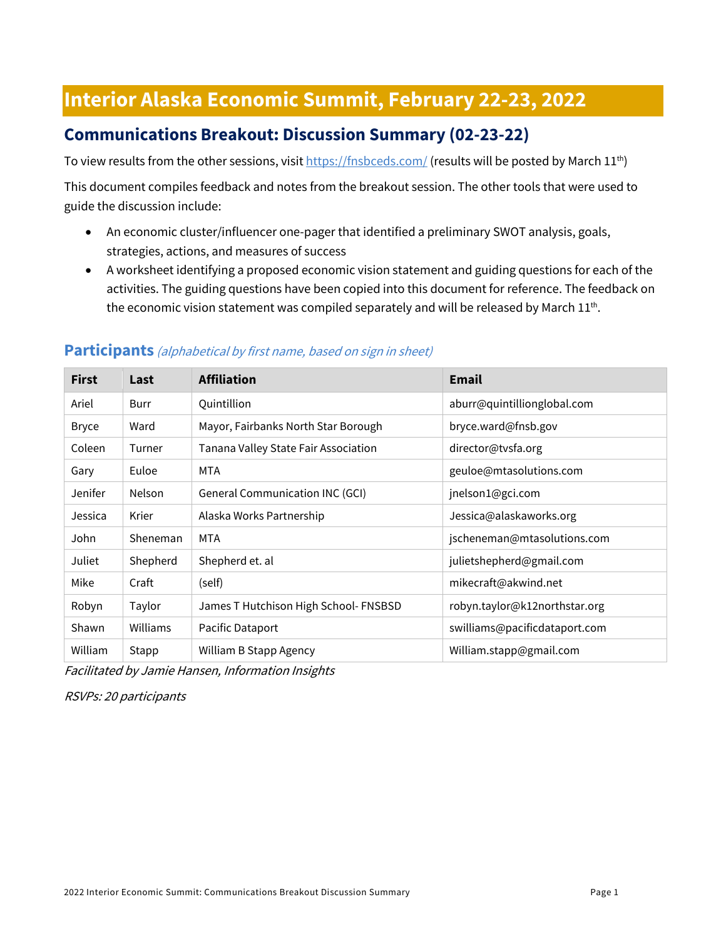# **Interior Alaska Economic Summit, February 22-23, 2022**

# **Communications Breakout: Discussion Summary (02-23-22)**

To view results from the other sessions, visi[t https://fnsbceds.com/](https://fnsbceds.com/) (results will be posted by March 11<sup>th</sup>)

This document compiles feedback and notes from the breakout session. The other tools that were used to guide the discussion include:

- An economic cluster/influencer one-pager that identified a preliminary SWOT analysis, goals, strategies, actions, and measures of success
- A worksheet identifying a proposed economic vision statement and guiding questions for each of the activities. The guiding questions have been copied into this document for reference. The feedback on the economic vision statement was compiled separately and will be released by March  $11^{th}$ .

| <b>First</b> | Last          | <b>Affiliation</b>                     | <b>Email</b>                  |
|--------------|---------------|----------------------------------------|-------------------------------|
| Ariel        | Burr          | Quintillion                            | aburr@quintillionglobal.com   |
| <b>Bryce</b> | Ward          | Mayor, Fairbanks North Star Borough    | bryce.ward@fnsb.gov           |
| Coleen       | Turner        | Tanana Valley State Fair Association   | director@tvsfa.org            |
| Gary         | Euloe         | MTA                                    | geuloe@mtasolutions.com       |
| Jenifer      | <b>Nelson</b> | <b>General Communication INC (GCI)</b> | jnelson1@gci.com              |
| Jessica      | Krier         | Alaska Works Partnership               | Jessica@alaskaworks.org       |
| John         | Sheneman      | <b>MTA</b>                             | jscheneman@mtasolutions.com   |
| Juliet       | Shepherd      | Shepherd et. al                        | julietshepherd@gmail.com      |
| Mike         | Craft         | (self)                                 | mikecraft@akwind.net          |
| Robyn        | Taylor        | James T Hutchison High School- FNSBSD  | robyn.taylor@k12northstar.org |
| Shawn        | Williams      | Pacific Dataport                       | swilliams@pacificdataport.com |
| William      | Stapp         | William B Stapp Agency                 | William.stapp@gmail.com       |

## **Participants** (alphabetical by first name, based on sign in sheet)

Facilitated by Jamie Hansen, Information Insights

RSVPs: 20 participants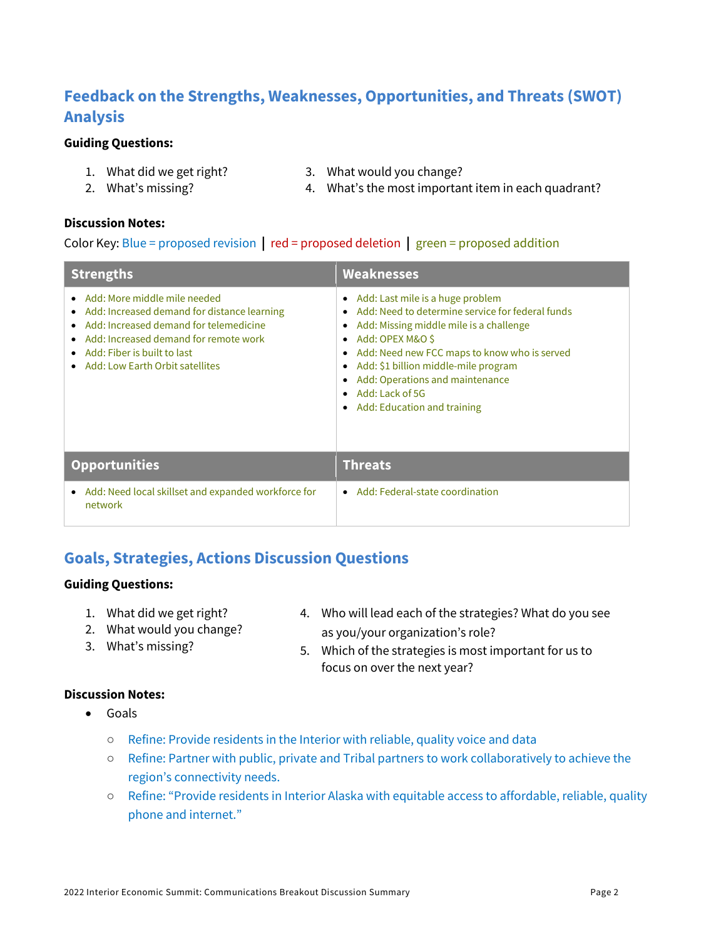# **Feedback on the Strengths, Weaknesses, Opportunities, and Threats (SWOT) Analysis**

#### **Guiding Questions:**

- 1. What did we get right?
- 2. What's missing?
- 3. What would you change?
- 

4. What's the most important item in each quadrant?

#### **Discussion Notes:**

Color Key: Blue = proposed revision **|** red = proposed deletion **|** green = proposed addition

| <b>Strengths</b>                                                                                                                                                                                                                                 | <b>Weaknesses</b>                                                                                                                                                                                                                                                                                                                                                                                                   |
|--------------------------------------------------------------------------------------------------------------------------------------------------------------------------------------------------------------------------------------------------|---------------------------------------------------------------------------------------------------------------------------------------------------------------------------------------------------------------------------------------------------------------------------------------------------------------------------------------------------------------------------------------------------------------------|
| • Add: More middle mile needed<br>• Add: Increased demand for distance learning<br>Add: Increased demand for telemedicine<br>Add: Increased demand for remote work<br>$\bullet$ Add: Fiber is built to last<br>• Add: Low Earth Orbit satellites | Add: Last mile is a huge problem<br>$\bullet$<br>Add: Need to determine service for federal funds<br>Add: Missing middle mile is a challenge<br>٠<br>Add: OPEX M&O \$<br>$\bullet$<br>Add: Need new FCC maps to know who is served<br>$\bullet$<br>Add: \$1 billion middle-mile program<br>$\bullet$<br>Add: Operations and maintenance<br>Add: Lack of 5G<br>$\bullet$<br>Add: Education and training<br>$\bullet$ |
| <b>Opportunities</b>                                                                                                                                                                                                                             | <b>Threats</b>                                                                                                                                                                                                                                                                                                                                                                                                      |
| Add: Need local skillset and expanded workforce for<br>٠<br>network                                                                                                                                                                              | Add: Federal-state coordination<br>$\bullet$                                                                                                                                                                                                                                                                                                                                                                        |

## **Goals, Strategies, Actions Discussion Questions**

#### **Guiding Questions:**

- 1. What did we get right?
- 2. What would you change?
- 3. What's missing?
- 4. Who will lead each of the strategies? What do you see as you/your organization's role?
- 5. Which of the strategies is most important for us to focus on over the next year?

## **Discussion Notes:**

- Goals
	- Refine: Provide residents in the Interior with reliable, quality voice and data
	- Refine: Partner with public, private and Tribal partners to work collaboratively to achieve the region's connectivity needs.
	- Refine: "Provide residents in Interior Alaska with equitable access to affordable, reliable, quality phone and internet."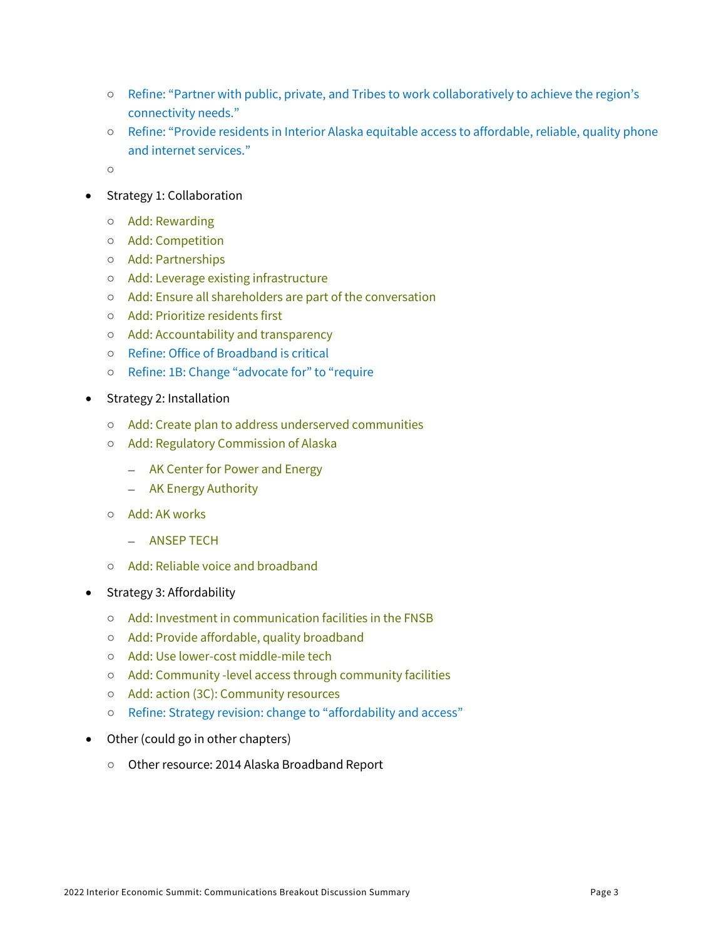- Refine: "Partner with public, private, and Tribes to work collaboratively to achieve the region's connectivity needs."
- Refine: "Provide residents in Interior Alaska equitable access to affordable, reliable, quality phone and internet services."
- ○
- Strategy 1: Collaboration
	- Add: Rewarding
	- Add: Competition
	- Add: Partnerships
	- Add: Leverage existing infrastructure
	- Add: Ensure all shareholders are part of the conversation
	- Add: Prioritize residents first
	- Add: Accountability and transparency
	- Refine: Office of Broadband is critical
	- Refine: 1B: Change "advocate for" to "require
- Strategy 2: Installation
	- Add: Create plan to address underserved communities
	- Add: Regulatory Commission of Alaska
		- AK Center for Power and Energy
		- AK Energy Authority
	- Add: AK works
		- ANSEP TECH
	- Add: Reliable voice and broadband
- Strategy 3: Affordability
	- Add: Investment in communication facilities in the FNSB
	- Add: Provide affordable, quality broadband
	- Add: Use lower-cost middle-mile tech
	- Add: Community -level access through community facilities
	- Add: action (3C): Community resources
	- Refine: Strategy revision: change to "affordability and access"
- Other (could go in other chapters)
	- Other resource: 2014 Alaska Broadband Report